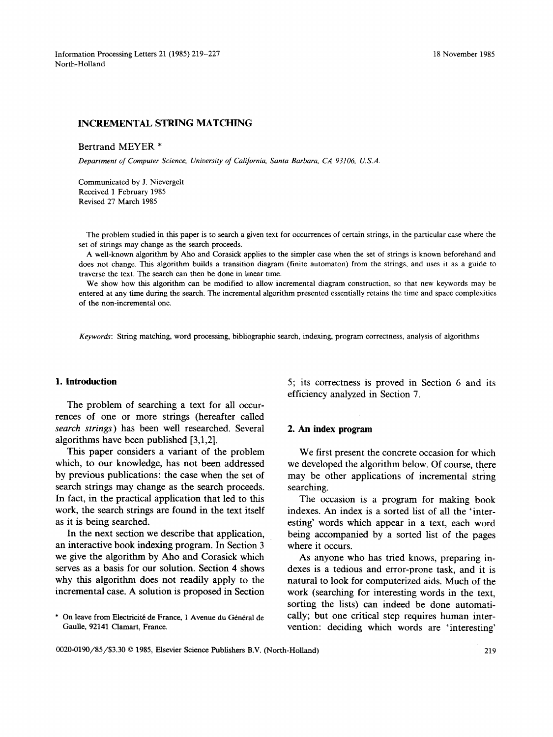Information Processing Letters 21 (1985) 219–227 18 November 1985 North-Holland

### INCREMENTAL STRING MATCHING

Bertrand MEYER **\*** 

*Department of Computer Science, University of California, Santa Barbara, CA 93106, U.S.A.* 

Communicated by J. Nievergelt Received 1 February 1985 Revised 27 March 1985

The problem studied in this paper is to search a given text for occurrences of certain strings, in the particular case where the set of strings may change as the search proceeds.

A well-known algorithm by Aho and Corasick applies to the simpler case when the set of strings is known beforehand and does not change. This algorithm builds a transition diagram (finite automaton) from the strings, and uses it as a guide to traverse the text. The search can then be done in linear time.

We show how this algorithm can be modified to allow incremental diagram construction, so that new keywords may be entered at any time during the search. The incremental algorithm presented essentially retains the time and space complexities of the non-incremental one.

*Keywords:* String matching, word processing, bibliographic search, indexing, program correctness, analysis of algorithms

## **1. Introduction**

The problem of searching a text for all occurrences of one or more strings (hereafter called *search strings)* has been well researched. Several algorithms have been published [3,1,2].

This paper considers a variant of the problem which, to our knowledge, has not been addressed by previous publications! the case when the set of search strings may change as the search proceeds. In fact, in the practical application that led to this work, the search strings are found in the text itself as it is being searched.

In the next section we describe that application, an interactive book indexing program. In Section 3 we give the algorithm by Aho and Corasick which serves as a basis for our solution. Section 4 shows why this algorithm does not readily apply to the incremental case. A solution is proposed in Section

5; its correctness is proved in Section 6 and its efficiency analyzed in Section 7.

## **2. An index program**

We first present the concrete occasion for which we developed the algorithm below. Of course, there may be other applications of incremental string searching.

The occasion is a program for making book indexes. An index is a sorted list of all the 'interesting' words which appear in a text, each word being accompanied by a sorted list of the pages where it occurs.

As anyone who has tried knows, preparing indexes is a tedious and error-prone task, and it is natural to look for computerized aids. Much of the work (searching for interesting words in the text, sorting the lists) can indeed be done automatically; but one critical step requires human intervention: deciding which words are 'interesting'

On leave from Electricité de France, 1 Avenue du Général de Gaulle, 92141 Clamart, France.

<sup>0020-0190/85/\$3.30 © 1985,</sup> Elsevier Science Publishers B.V. (North-Holland) 219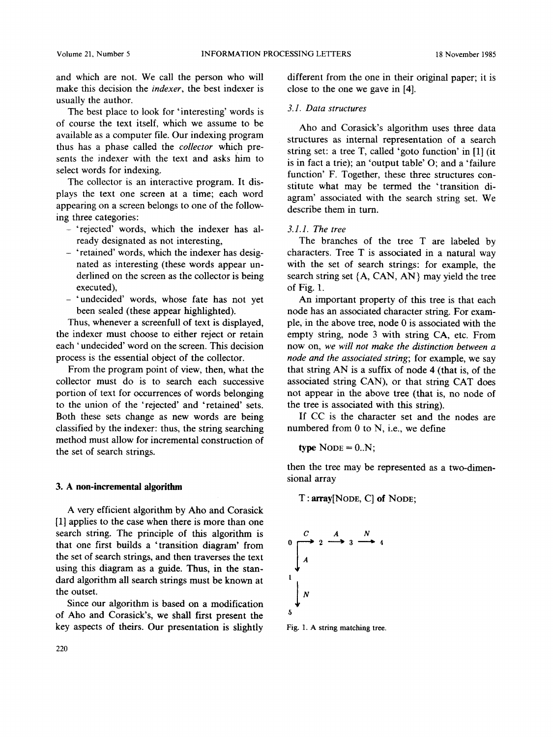and which are not. We call the person who will make this decision the *indexer,* the best indexer is usually the author.

The best place to look for 'interesting' words is of course the text itself, which we assume to be available as a computer file. Our indexing program thus has a phase called the *collector* which presents the indexer with the text and asks him to select words for indexing.

The collector is an interactive program. It displays the text one screen at a time; each word appearing on a screen belongs to one of the following three categories:

- 'rejected' words, which the indexer has already designated as not interesting,
- 'retained' words, which the indexer has designated as interesting (these words appear underlined on the screen as the collector is being executed),
- 'undecided' words, whose fate has not yet been sealed (these appear highlighted).

Thus, whenever a screenfull of text is displayed, the indexer must choose to either reject or retain each 'undecided' word on the screen. This decision process is the essential object of the collector.

From the program point of view, then, what the collector must do is to search each successive portion of text for occurrences of words belonging to the union of the 'rejected' and 'retained' sets. Both these sets change as new words are being classified by the indexer: thus, the string searching method must allow for incremental construction of the set of search strings.

#### **3. A non-incremental algorithm**

A very efficient algorithm by Aho and Corasick [1] applies to the case when there is more than one search string. The principle of this algorithm is that one first builds a 'transition diagram' from the set of search strings, and then traverses the text using this diagram as a guide. Thus, in the standard algorithm all search strings must be known at the outset.

Since our algorithm is based on a modification of Aho and Corasick's, we shall first present the key aspects of theirs. Our presentation is slightly different from the one in their original paper; it is close to the one we gave in [4].

#### *3.1. Data structures*

Aho and Corasick's algorithm uses three data structures as internal representation of a search string set: a tree T, called 'goto function' in [1] (it is in fact a trie); an 'output table' O; and a 'failure function' F. Together, these three structures constitute what may be termed the 'transition diagram' associated with the search string set. We describe them in turn.

*3.1.1. The tree* 

The branches of the tree T are labeled by characters. Tree T is associated in a natural way with the set of search strings: for example, the search string set  $\{A, CAN, AN\}$  may yield the tree of Fig. 1.

An important property of this tree is that each node has an associated character string. For example, in the above tree, node 0 is associated with the empty string, node 3 with string CA, etc. From now on, *we will not make the distinction between a node and the associated string;* for example, we say that string AN is a suffix of node 4 (that is, of the associated string CAN), or that string CAT does not appear in the above tree (that is, no node of the tree is associated with this string).

If CC is the character set and the nodes are numbered from 0 to N, i.e., we define

type  $\text{None} = 0.N;$ 

then the tree may be represented as a two-dimensional array

T : array[NODE, C] of NODE;



Fig. 1. A string matching tree.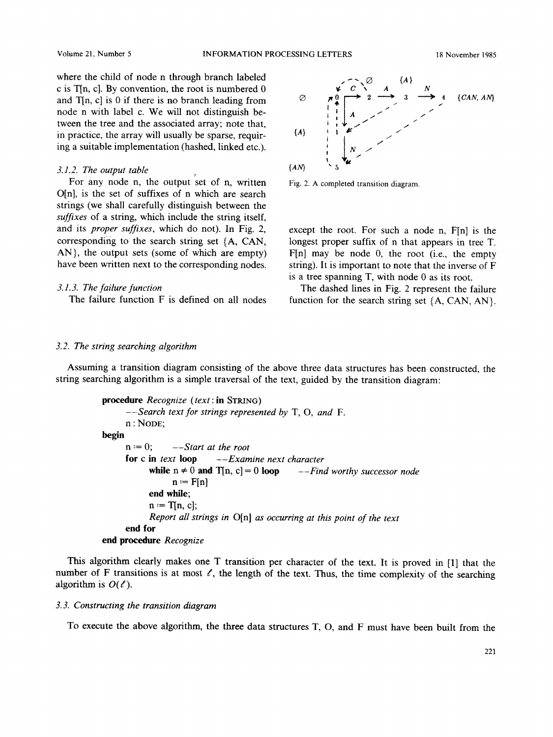where the child of node n through branch labeled c is T[n, c]. By convention, the root is numbered 0 and  $T[n, c]$  is 0 if there is no branch leading from node n with label c. We will not distinguish between the tree and the associated array; note that, in practice, the array will usually be sparse, requiring a suitable implementation (hashed, linked etc.).

### *3.1.2. The output table*

For any node n, the output set of n, written  $O[n]$ , is the set of suffixes of n which are search strings (we shall carefully distinguish between the *suffixes* of a string, which include the string itself, and its *proper suffixes,* which do not). In Fig. 2, corresponding to the search string set (A, CAN, AN}, the output sets (some of which are empty) have been written next to the corresponding nodes.

### *3.1.3. The failure function*

The failure function F is defined on all nodes



Fig. 2. A completed transition diagram.

except the root. For such a node n, F[n] is the longest proper suffix of n that appears in tree T. F[n] may be node 0, the root (i.e., the empty string). It is important to note that the inverse of F is a tree spanning T, with node 0 as its root.

The dashed lines in Fig. 2 represent the failure function for the search string set  $\{A, CAN, AN\}$ .

#### *3.2. The string searching algorithm*

Assuming a transition diagram consisting of the above three data structures has been constructed, the string searching algorithm is a simple traversal of the text, guided by the transition diagram:

```
procedure Recognize (text: in STRING) 
      --Search text for strings represented by T, O, and F. 
      n : NODE; 
begin 
      n := 0; \qquad -Start \text{ at the root}for c in text loop --Examine next character 
            while n \neq 0 and T[n, c] = 0 loop --Find worthy successor node
                 n := F[n]end while; 
           n := T[n, c];
            Report all strings in O[n] as occurring at this point of the text 
      end for 
end procedure Recognize
```
This algorithm clearly makes one T transition per character of the text. It is proved in [1] that the number of F transitions is at most  $\ell$ , the length of the text. Thus, the time complexity of the searching algorithm is  $O(\ell)$ .

# *3. 3. Constructing the transition diagram*

To execute the above algorithm, the three data structures T, O, and F must have been built from the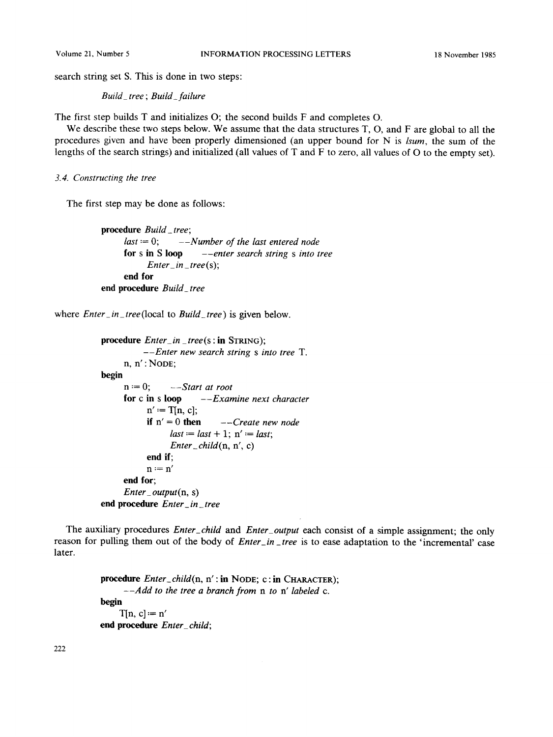search string set S. This is done in two steps:

*Build\_ tree ; Build\_failure* 

The first step builds T and initializes O; the second builds F and completes O.

We describe these two steps below. We assume that the data structures T, O, and F are global to all the procedures given and have been properly dimensioned (an upper bound for N is *lsum,* the sum of the lengths of the search strings) and initialized (all values of T and F to zero, all values of O to the empty set).

*3.4. Constructing the tree* 

The first step may be done as follows:

```
procedure Build_tree; 
     last "= 0; --Number of the last entered node 
     for s in S loop --enter search string s into tree 
           Enter_ in_ tree (s); 
     end for 
end procedure Build_ tree
```
where *Enter\_ in \_tree(local* to *Build\_tree)* is given below.

```
procedure Enter_ in _ tree (s : in STRING); 
          --Enter new search string s into tree T. 
     n, n': \text{None};begin 
     n := 0; \qquad --Start \at{not}for c in s loop --Examine next character 
           n' := T[n, c];if n' = 0 then ---Create new nodelast := last + 1; n' := last;Enter_child(n, n', c) 
           end if; 
           n := n'end for; 
     Enter_output(n, s) 
end procedure Enter_ in_ tree
```
The auxiliary procedures *Enter\_child and Enter\_output* each consist of a simple assignment; the only reason for pulling them out of the body of *Enter\_in \_tree* is to ease adaptation to the 'incremental' case later.

> **procedure** *Enter\_child(n,* n' : **in** NODE; C : **in** CHARACTER); *--Add to the tree a branch from n to n' labeled c.*  **begin**  $T[n, c] := n'$ **end procedure** *Enter\_ child;*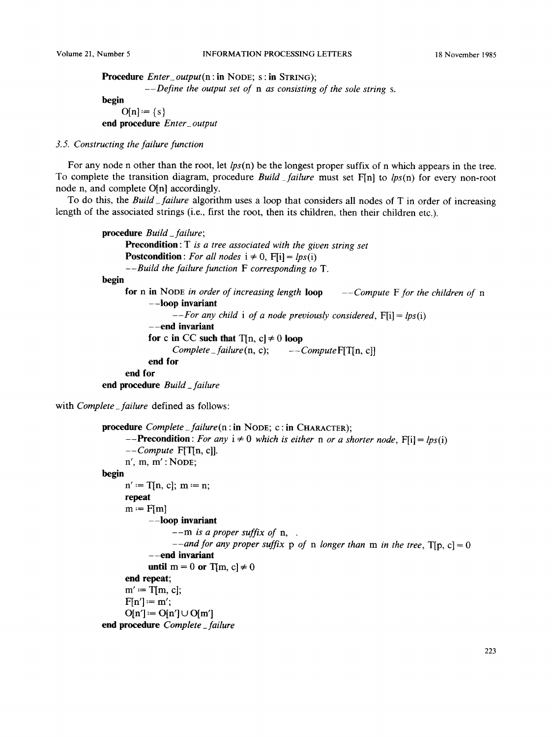```
Procedure Enter_output(n : in NODE; S : in STRING); 
          --Define the output set of n as consisting of the sole string s. 
begin 
     O[n] := \{s\}end procedure Enter_ output
```
# *3. 5. Constructing the failure function*

For any node n other than the root, **let** *lps(n)* be the longest proper suffix of n which appears in the tree. To complete the transition diagram, procedure *Build failure* must set F[n] to *lps(n)* for every non-root node n, and complete O[n] accordingly.

To do this, the *Build\_failure* algorithm uses a loop that considers **all** nodes of T in order of increasing length of the associated strings (i.e., first the root, then its children, then their children etc.).

```
procedure Build_failure; 
     Precondition : T is a tree associated with the given string set 
     Postcondition: For all nodes i \neq 0, F[i] = lps(i)Bu--Build the failure function F corresponding to T.
begin 
     for n in NODE in order of increasing length loop --Compute F for the children of n 
           --loop invariant 
                  --For any child i of a node previously considered, F[i] = lps(i) 
           --end invariant 
           for c in CC such that T[n, c] \neq 0 loop
                 Complete_failure(n, c); --ComputeF[T[n, c]] 
           end for 
     end for 
end procedure Build_failure
```
with *Complete\_failure* defined as follows:

```
procedure Complete_failure(n : in NODE; C : in CHARACTER); 
      -Precondition: For any i \neq 0 which is either n or a shorter node, F[i] = lps(i)--Compute FIT[n, c]]. 
     n', m, m': NODE;
begin 
     n' := T[n, c]; m := n;
     repeat 
     m := F[m]--loop invariant 
                 --m is a proper suffix of n, 
                 --and for any proper suffix p of n longer than m in the tree, T[p, c] = 0
           --end invariant 
           until m = 0 or T[m, c] \neq 0end repeat; 
     m' := T[m, c];F[n'] := m';
     O[n'] := O[n'] \cup O[m']end procedure Complete_failure
```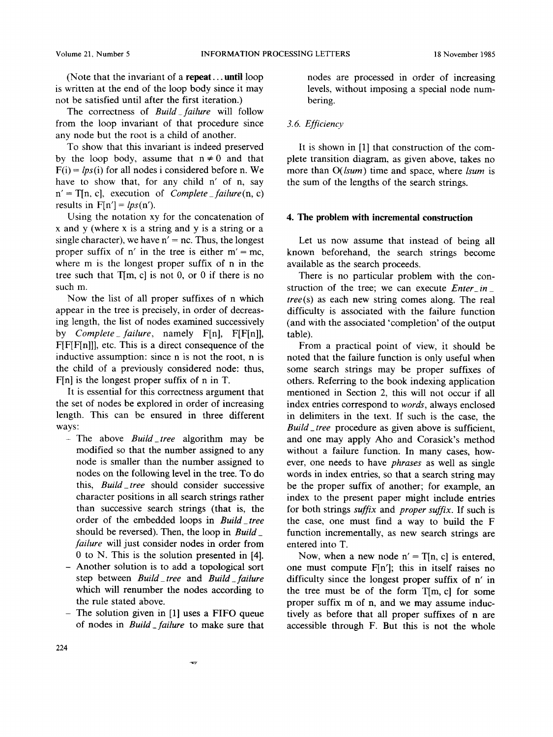(Note that the invariant of a repeat.., until loop is written at the end of the loop body since it may not be satisfied until after the first iteration.)

The correctness of *Build failure* will follow from the loop invariant of that procedure since any node but the root is a child of another.

To show that this invariant is indeed preserved by the loop body, assume that  $n \neq 0$  and that  $F(i) = lps(i)$  for all nodes i considered before n. We have to show that, for any child n' of n, say  $n' = T[n, c]$ , execution of *Complete* \_ failure(n, c) results in  $F[n'] = lps(n')$ .

Using the notation xy for the concatenation of x and y (where x is a string and y is a string or a single character), we have  $n' = nc$ . Thus, the longest proper suffix of n' in the tree is either  $m' = mc$ , where m is the longest proper suffix of n in the tree such that  $T[m, c]$  is not 0, or 0 if there is no such m.

Now the list of all proper suffixes of n which appear in the tree is precisely, in order of decreasing length, the list of nodes examined successively by *Complete\_failure,* namely F[n], F[F[n]], F[F[F[n]]], etc. This is a direct consequence of the inductive assumption: since n is not the root, n is the child of a previously considered node: thus, F[n] is the longest proper suffix of n in T.

It is essential for this correctness argument that the set of nodes be explored in order of increasing length. This can be ensured in three different ways:

- -The above *Build\_tree* algorithm may be modified so that the number assigned to any node is smaller than the number assigned to nodes on the following level in the tree. To do this, *Build\_tree* should consider successive character positions in all search strings rather than successive search strings (that is, the order of the embedded loops in *BuiM\_tree*  should be reversed). Then, the loop in *Build\_ failure* will just consider nodes in order from 0 to N. This is the solution presented in [4].
- Another solution is to add a topological sort step between *Build\_tree* and *Build\_failure* which will renumber the nodes according to the rule stated above.
- The solution given in [1] uses a FIFO queue of nodes in *Build \_failure* to make sure that

 $-\pi$ 

nodes are processed in order of increasing levels, without imposing a special node numbering.

## *3.6. Efficiency*

It is shown in [1] that construction of the complete transition diagram, as given above, takes no more than *O(lsum)* time and space, where *lsum* is the sum of the lengths of the search strings.

### **4. The problem with incremental construction**

Let us now assume that instead of being all known beforehand, the search strings become available as the search proceeds.

There is no particular problem with the construction of the tree; we can execute *Enter\_in\_ tree(s)* as each new string comes along. The real difficulty is associated with the failure function (and with the associated 'completion' of the output table).

From a practical point of view, it should be noted that the failure function is only useful when some search strings may be proper suffixes of others. Referring to the book indexing application mentioned in Section 2, this will not occur if all index entries correspond to *words,* always enclosed in delimiters in the text. If such is the case, the *Build\_ tree* procedure as given above is sufficient, and one may apply Aho and Corasick's method without a failure function. In many cases, however, one needs to have *phrases* as well as single words in index entries, so that a search string may be the proper suffix of another; for example, an index to the present paper might include entries for both strings *suffix and proper suffix.* If such is the case, one must find a way to build the F function incrementally, as new search strings are entered into T.

Now, when a new node  $n' = T[n, c]$  is entered, one must compute F[n']; this in itself raises no difficulty since the longest proper suffix of n' in the tree must be of the form T[m, c] for some proper suffix m of n, and we may assume inductively as before that all proper suffixes of n are accessible through F. But this is not the whole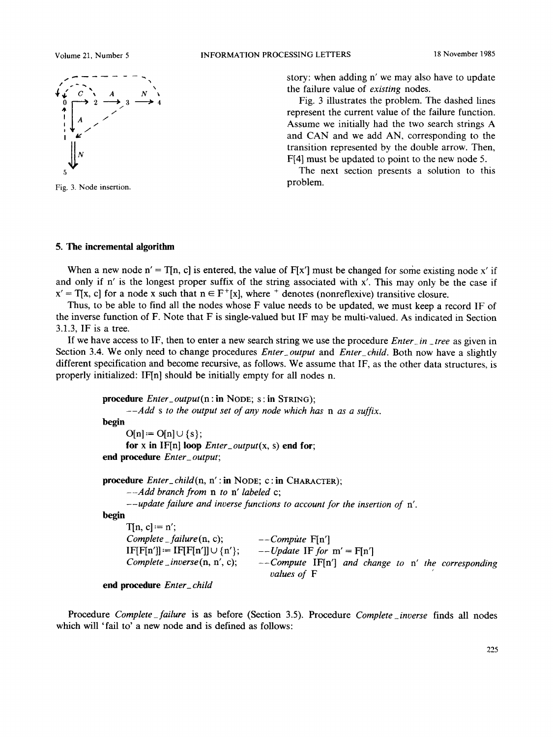

Fig. 3. Node insertion.

story: when adding n' we may also have to update the failure value of *existing* nodes.

Fig. 3 illustrates the problem. The dashed lines represent the current value of the failure function. Assume we initially had the two search strings A and CAN and we add AN, corresponding to the transition represented by the double arrow. Then, F[4] must be updated to point to the new node 5.

The next section presents a solution to this problem.

## **5. The incremental algorithm**

When a new node  $n' = T[n, c]$  is entered, the value of  $F[x']$  must be changed for some existing node x' if and only if n' is the longest proper suffix of the string associated with x'. This may only be the case if  $x' = T[x, c]$  for a node x such that  $n \in F^+[x]$ , where <sup>+</sup> denotes (nonreflexive) transitive closure.

Thus, to be able to find all the nodes whose F value needs to be updated, we must keep a record IF of the inverse function of F. Note that F is single-valued but IF may be multi-valued. As indicated in Section 3.1.3, IF is a tree.

If we have access to IF, then to enter a new search string we use the procedure *Enter in \_tree* as given in Section 3.4. We only need to change procedures *Enter\_ output* and *Enter\_child.* Both now have a slightly different specification and become recursive, as follows. We assume that IF, as the other data structures, is properly initialized: IF[n] should be initially empty for all nodes n.

```
procedure Enter_output(n : in NODE; S : in STRING); 
      --Add s to the output set of any node which has n as a suffix. 
begin 
      O[n] := O[n] \cup \{s\};for x in IF[n] loop Enter_output(x, s) end for;
end procedure Enter_ output; 
procedure Enter_child(n, n': in NODE; c: in CHARACTER);
      --Add branch from n to n' labeled c; 
      --update failure and inverse functions to account for the insertion of n'. 
begin 
      T[n, c] := n';Complete _ failure (n, c); 
      IF[Fn'] := IF[Fn'] \cup \{n'\};Complete_inverse(n, n', c); 
                                       --Compitte F[n'] 
                                       -- Update IF for m' = F[n']--Compute IF[n'] and change to n' the corresponding 
                                         values of F
```

```
end procedure Enter_ child
```
Procedure *Complete\_failure* is as before (Section 3.5). Procedure *Complete\_inverse* finds all nodes which will 'fail to' a new node and is defined as follows: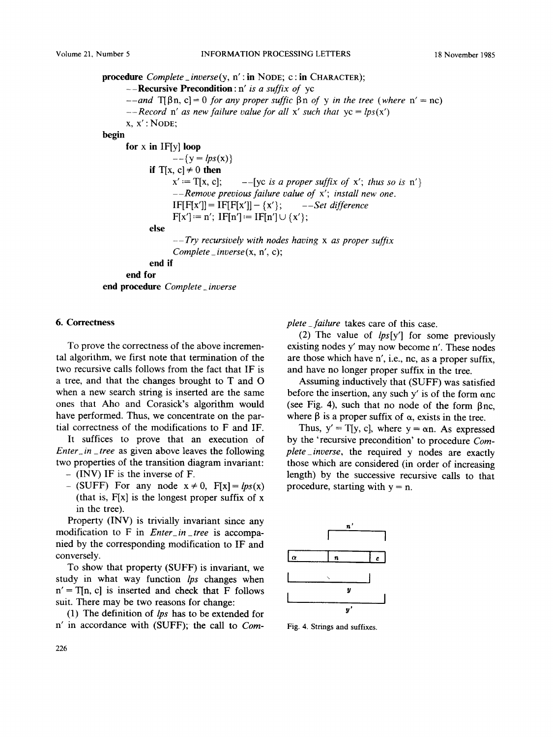**procedure** *Complete\_inverse(y,* n':in NODE; c:in CHARACTER); **--Recursive Precondition:** n' *is a suffix of* yc  $-$ *-and*  $T[\beta n, c] = 0$  *for any proper suffic*  $\beta n$  *of*  $\gamma$  *in the tree* (where  $n' = nc$ )  $-$ *-Record* n' as new failure value for all x' such that  $y = lps(x')$  $x, x': \text{None:}$ **begin for x in IF[y] loop**   $-{\{y = lps(x)\}}$ **if**  $T[x, c] \neq 0$  **then**  $x' := T[x, c];$ **else**  --[yc *is a proper suffix of* x'; *thus so is* n'} *--Remove previous failure value of* x'; *install new one.*   $IF[F[x']] = IF[F[x']] - {x'}; \t -- Set difference$  $F[x'] := n'$ ;  $IF[n'] := IF[n'] \cup \{x'\};$ *--Try recursively with nodes having x as proper suffix Complete\_inverse(x,* n', c); **end if end for end procedure** *Complete inverse* 

## **6. Correctness**

To prove the correctness of the above incremental algorithm, we first note that termination of the two recursive calls follows from the fact that IF is a tree, and that the changes brought to T and O when a new search string is inserted are the same ones that Aho and Corasick's algorithm would have performed. Thus, we concentrate on the partial correctness of the modifications to F and IF.

It suffices to prove that an execution of *Enter\_in\_ tree* as given above leaves the following two properties of the transition diagram invariant:

- (INV) IF is the inverse of F.
- $-$  (SUFF) For any node  $x \neq 0$ ,  $F[x] = lps(x)$ (that is,  $F[x]$  is the longest proper suffix of x in the tree).

Property (INV) is trivially invariant since any modification to F in *Enter\_in \_tree* is accompanied by the corresponding modification to IF and conversely.

To show that property (SUFF) is invariant, we study in what way function *lps* changes when  $n' = T[n, c]$  is inserted and check that F follows suit. There may be two reasons for change:

(1) The definition of *lps* has to be extended for n' in accordance with (SUFF); the call to *Com-* *plete\_failure* takes care of this case.

(2) The value of *lps[y']* for some previously existing nodes y' may now become n'. These nodes are those which have n', i.e., nc, as a proper suffix, and have no longer proper suffix in the tree.

Assuming inductively that (SUFF) was satisfied before the insertion, any such y' is of the form anc (see Fig. 4), such that no node of the form  $\beta$ nc, where  $\beta$  is a proper suffix of  $\alpha$ , exists in the tree.

Thus,  $y' = T[y, c]$ , where  $y = \alpha n$ . As expressed by the 'recursive precondition' to procedure *Complete\_inverse,* the required y nodes are exactly those which are considered (in order of increasing length) by the successive recursive calls to that procedure, starting with  $y = n$ .



Fig. 4. Strings and suffixes.